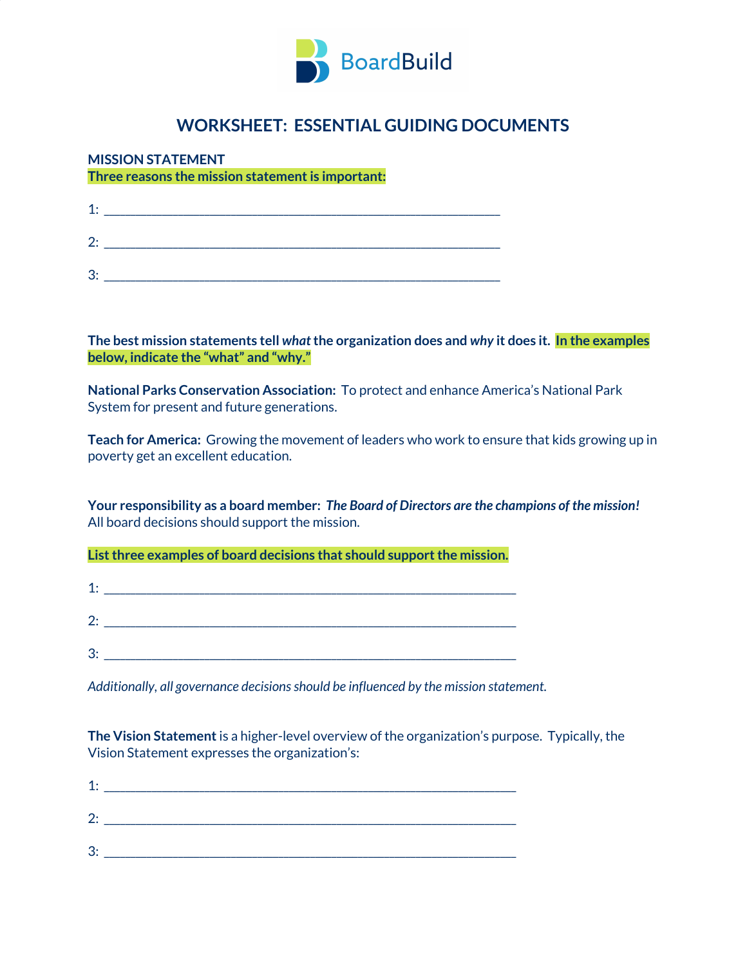

# **WORKSHEET: ESSENTIAL GUIDING DOCUMENTS**

## **MISSION STATEMENT**

**Three reasons the mission statementis important:**

| $1 \cdot$ |  |
|-----------|--|
| 2.        |  |
| 3:        |  |

**The best mission statements tell** *what***the organization does and** *why* **it does it. In the examples below, indicate the "what" and "why."**

**National Parks Conservation Association:** To protect and enhance America's National Park System for present and future generations.

**Teach for America:** Growing the movement of leaders who work to ensure that kids growing up in poverty get an excellent education.

**Your responsibility as a board member:** *The Board of Directors are the champions of the mission!* All board decisions should support the mission.

**Listthree examples of board decisions that should supportthe mission.**

| 1: |  |  |
|----|--|--|
| 2. |  |  |
| 3: |  |  |

*Additionally, all governance decisionsshould be influenced by the mission statement.*

**The Vision Statement**is a higher-level overview of the organization's purpose. Typically, the Vision Statement expresses the organization's:

| r<br>Z.            |  |
|--------------------|--|
| વ.<br>$\mathbf{v}$ |  |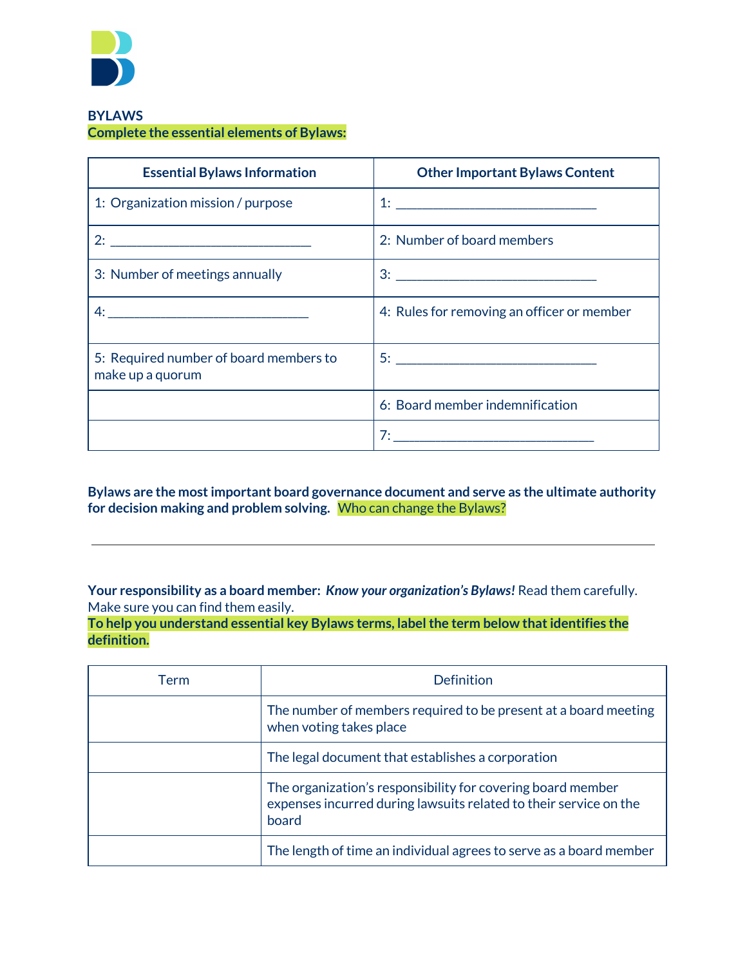

#### **BYLAWS Complete the essential elements of Bylaws:**

| <b>Essential Bylaws Information</b>                        | <b>Other Important Bylaws Content</b>         |
|------------------------------------------------------------|-----------------------------------------------|
| 1: Organization mission / purpose                          |                                               |
|                                                            | 2: Number of board members                    |
| 3: Number of meetings annually                             |                                               |
|                                                            | 4: Rules for removing an officer or member    |
| 5: Required number of board members to<br>make up a quorum |                                               |
|                                                            | 6: Board member indemnification               |
|                                                            | <u>7: ___________________________________</u> |

**Bylaws are the mostimportant board governance document and serve as the ultimate authority for decision making and problem solving.** Who can change the Bylaws?

**Your responsibility as a board member:** *Know your organization's Bylaws!* Read them carefully. Make sure you can find them easily.

**To help you understand essential key Bylaws terms, labelthe term below thatidentifies the definition.**

| Term | Definition                                                                                                                                |  |
|------|-------------------------------------------------------------------------------------------------------------------------------------------|--|
|      | The number of members required to be present at a board meeting<br>when voting takes place                                                |  |
|      | The legal document that establishes a corporation                                                                                         |  |
|      | The organization's responsibility for covering board member<br>expenses incurred during lawsuits related to their service on the<br>board |  |
|      | The length of time an individual agrees to serve as a board member                                                                        |  |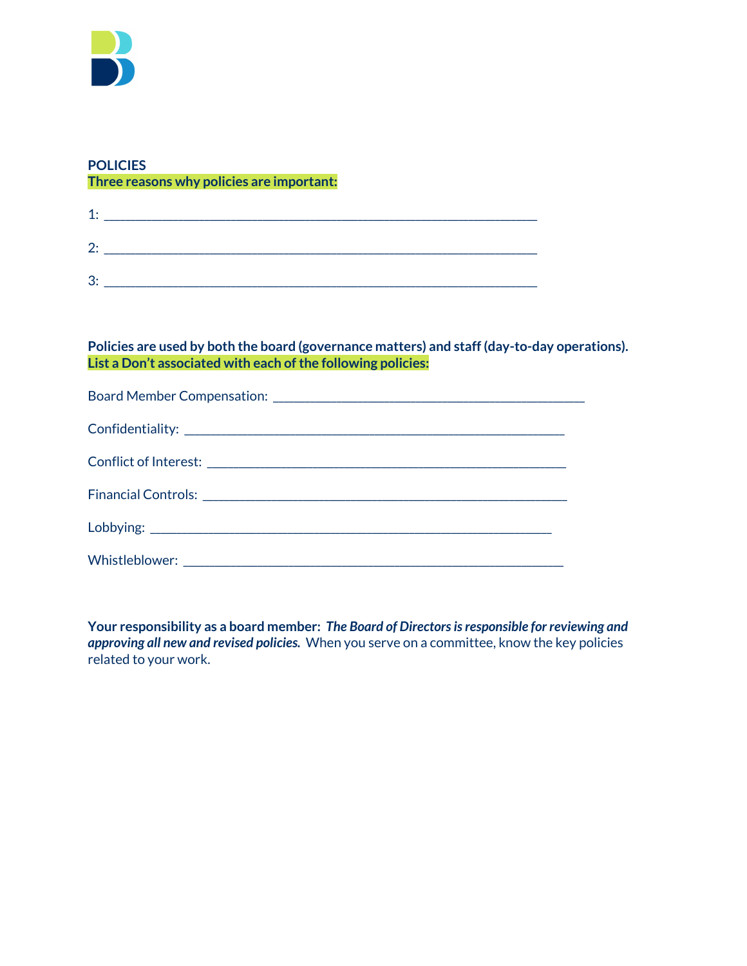

#### **POLICIES Three reasons why policies are important:**

| 1: |  |  |  |
|----|--|--|--|
| 2: |  |  |  |
| 3: |  |  |  |

#### **Policies are used by both the board (governance matters) and staff (day-to-day operations). List a Don't associated with each ofthe following policies:**

**Your responsibility as a board member:** *The Board of Directorsisresponsible for reviewing and approving all new and revised policies.* When you serve on a committee, know the key policies related to your work.